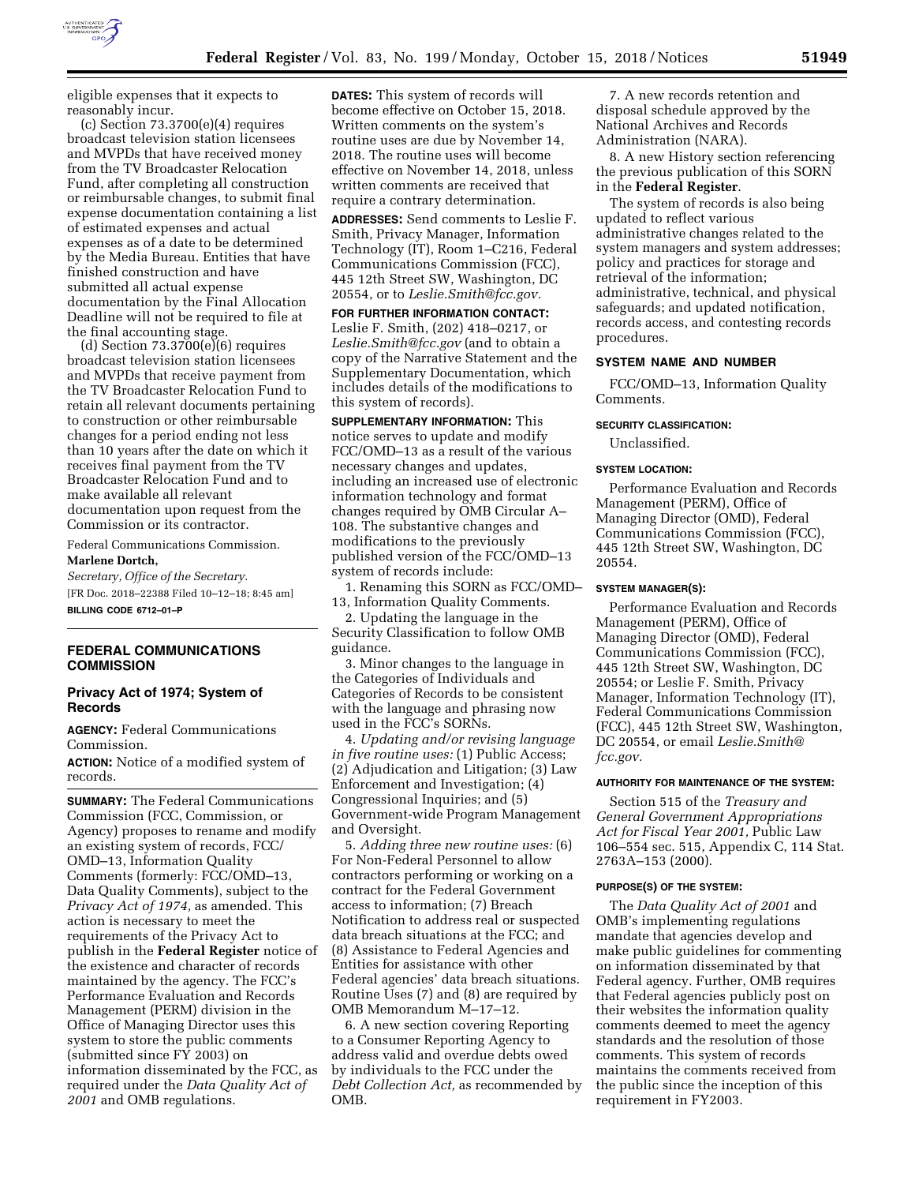

eligible expenses that it expects to reasonably incur.

 $(c)$  Section 73.3700 $(e)(4)$  requires broadcast television station licensees and MVPDs that have received money from the TV Broadcaster Relocation Fund, after completing all construction or reimbursable changes, to submit final expense documentation containing a list of estimated expenses and actual expenses as of a date to be determined by the Media Bureau. Entities that have finished construction and have submitted all actual expense documentation by the Final Allocation Deadline will not be required to file at the final accounting stage.

(d) Section 73.3700(e)(6) requires broadcast television station licensees and MVPDs that receive payment from the TV Broadcaster Relocation Fund to retain all relevant documents pertaining to construction or other reimbursable changes for a period ending not less than 10 years after the date on which it receives final payment from the TV Broadcaster Relocation Fund and to make available all relevant documentation upon request from the Commission or its contractor.

Federal Communications Commission.

# **Marlene Dortch,**

*Secretary, Office of the Secretary.*  [FR Doc. 2018–22388 Filed 10–12–18; 8:45 am] **BILLING CODE 6712–01–P** 

# **FEDERAL COMMUNICATIONS COMMISSION**

# **Privacy Act of 1974; System of Records**

**AGENCY:** Federal Communications Commission.

**ACTION:** Notice of a modified system of records.

**SUMMARY:** The Federal Communications Commission (FCC, Commission, or Agency) proposes to rename and modify an existing system of records, FCC/ OMD–13, Information Quality Comments (formerly: FCC/OMD–13, Data Quality Comments), subject to the *Privacy Act of 1974,* as amended. This action is necessary to meet the requirements of the Privacy Act to publish in the **Federal Register** notice of the existence and character of records maintained by the agency. The FCC's Performance Evaluation and Records Management (PERM) division in the Office of Managing Director uses this system to store the public comments (submitted since FY 2003) on information disseminated by the FCC, as required under the *Data Quality Act of 2001* and OMB regulations.

**DATES:** This system of records will become effective on October 15, 2018. Written comments on the system's routine uses are due by November 14, 2018. The routine uses will become effective on November 14, 2018, unless written comments are received that require a contrary determination.

**ADDRESSES:** Send comments to Leslie F. Smith, Privacy Manager, Information Technology (IT), Room 1–C216, Federal Communications Commission (FCC), 445 12th Street SW, Washington, DC 20554, or to *[Leslie.Smith@fcc.gov.](mailto:Leslie.Smith@fcc.gov)* 

**FOR FURTHER INFORMATION CONTACT:**  Leslie F. Smith, (202) 418–0217, or *[Leslie.Smith@fcc.gov](mailto:Leslie.Smith@fcc.gov)* (and to obtain a copy of the Narrative Statement and the Supplementary Documentation, which includes details of the modifications to this system of records).

**SUPPLEMENTARY INFORMATION:** This notice serves to update and modify FCC/OMD–13 as a result of the various necessary changes and updates, including an increased use of electronic information technology and format changes required by OMB Circular A– 108. The substantive changes and modifications to the previously published version of the FCC/OMD–13 system of records include:

1. Renaming this SORN as FCC/OMD– 13, Information Quality Comments.

2. Updating the language in the Security Classification to follow OMB guidance.

3. Minor changes to the language in the Categories of Individuals and Categories of Records to be consistent with the language and phrasing now used in the FCC's SORNs.

4. *Updating and/or revising language in five routine uses:* (1) Public Access; (2) Adjudication and Litigation; (3) Law Enforcement and Investigation; (4) Congressional Inquiries; and (5) Government-wide Program Management and Oversight.

5. *Adding three new routine uses:* (6) For Non-Federal Personnel to allow contractors performing or working on a contract for the Federal Government access to information; (7) Breach Notification to address real or suspected data breach situations at the FCC; and (8) Assistance to Federal Agencies and Entities for assistance with other Federal agencies' data breach situations. Routine Uses (7) and (8) are required by OMB Memorandum M–17–12.

6. A new section covering Reporting to a Consumer Reporting Agency to address valid and overdue debts owed by individuals to the FCC under the *Debt Collection Act,* as recommended by OMB.

7. A new records retention and disposal schedule approved by the National Archives and Records Administration (NARA).

8. A new History section referencing the previous publication of this SORN in the **Federal Register**.

The system of records is also being updated to reflect various administrative changes related to the system managers and system addresses; policy and practices for storage and retrieval of the information; administrative, technical, and physical safeguards; and updated notification, records access, and contesting records procedures.

## **SYSTEM NAME AND NUMBER**

FCC/OMD–13, Information Quality Comments.

#### **SECURITY CLASSIFICATION:**

Unclassified.

## **SYSTEM LOCATION:**

Performance Evaluation and Records Management (PERM), Office of Managing Director (OMD), Federal Communications Commission (FCC), 445 12th Street SW, Washington, DC 20554.

## **SYSTEM MANAGER(S):**

Performance Evaluation and Records Management (PERM), Office of Managing Director (OMD), Federal Communications Commission (FCC), 445 12th Street SW, Washington, DC 20554; or Leslie F. Smith, Privacy Manager, Information Technology (IT), Federal Communications Commission (FCC), 445 12th Street SW, Washington, DC 20554, or email *[Leslie.Smith@](mailto:Leslie.Smith@fcc.gov) [fcc.gov.](mailto:Leslie.Smith@fcc.gov)* 

## **AUTHORITY FOR MAINTENANCE OF THE SYSTEM:**

Section 515 of the *Treasury and General Government Appropriations Act for Fiscal Year 2001,* Public Law 106–554 sec. 515, Appendix C, 114 Stat. 2763A–153 (2000).

## **PURPOSE(S) OF THE SYSTEM:**

The *Data Quality Act of 2001* and OMB's implementing regulations mandate that agencies develop and make public guidelines for commenting on information disseminated by that Federal agency. Further, OMB requires that Federal agencies publicly post on their websites the information quality comments deemed to meet the agency standards and the resolution of those comments. This system of records maintains the comments received from the public since the inception of this requirement in FY2003.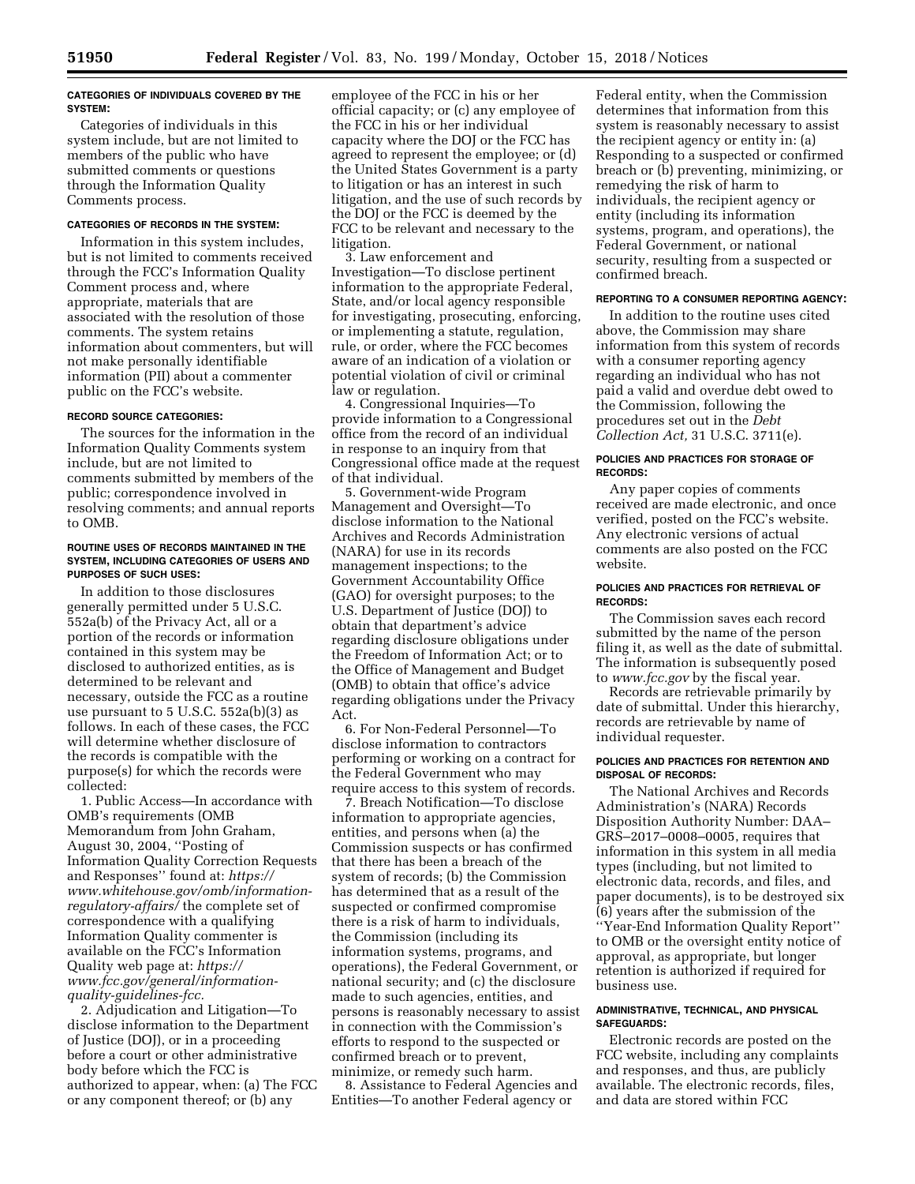### **CATEGORIES OF INDIVIDUALS COVERED BY THE SYSTEM:**

Categories of individuals in this system include, but are not limited to members of the public who have submitted comments or questions through the Information Quality Comments process.

## **CATEGORIES OF RECORDS IN THE SYSTEM:**

Information in this system includes, but is not limited to comments received through the FCC's Information Quality Comment process and, where appropriate, materials that are associated with the resolution of those comments. The system retains information about commenters, but will not make personally identifiable information (PII) about a commenter public on the FCC's website.

## **RECORD SOURCE CATEGORIES:**

The sources for the information in the Information Quality Comments system include, but are not limited to comments submitted by members of the public; correspondence involved in resolving comments; and annual reports to OMB.

#### **ROUTINE USES OF RECORDS MAINTAINED IN THE SYSTEM, INCLUDING CATEGORIES OF USERS AND PURPOSES OF SUCH USES:**

In addition to those disclosures generally permitted under 5 U.S.C. 552a(b) of the Privacy Act, all or a portion of the records or information contained in this system may be disclosed to authorized entities, as is determined to be relevant and necessary, outside the FCC as a routine use pursuant to 5 U.S.C. 552a(b)(3) as follows. In each of these cases, the FCC will determine whether disclosure of the records is compatible with the purpose(s) for which the records were collected:

1. Public Access—In accordance with OMB's requirements (OMB Memorandum from John Graham, August 30, 2004, ''Posting of Information Quality Correction Requests and Responses'' found at: *[https://](https://www.whitehouse.gov/omb/information-regulatory-affairs/) [www.whitehouse.gov/omb/information](https://www.whitehouse.gov/omb/information-regulatory-affairs/)[regulatory-affairs/](https://www.whitehouse.gov/omb/information-regulatory-affairs/)* the complete set of correspondence with a qualifying Information Quality commenter is available on the FCC's Information Quality web page at: *[https://](https://www.fcc.gov/general/information-quality-guidelines-fcc) [www.fcc.gov/general/information](https://www.fcc.gov/general/information-quality-guidelines-fcc)[quality-guidelines-fcc.](https://www.fcc.gov/general/information-quality-guidelines-fcc)* 

2. Adjudication and Litigation—To disclose information to the Department of Justice (DOJ), or in a proceeding before a court or other administrative body before which the FCC is authorized to appear, when: (a) The FCC or any component thereof; or (b) any

employee of the FCC in his or her official capacity; or (c) any employee of the FCC in his or her individual capacity where the DOJ or the FCC has agreed to represent the employee; or (d) the United States Government is a party to litigation or has an interest in such litigation, and the use of such records by the DOJ or the FCC is deemed by the FCC to be relevant and necessary to the litigation.

3. Law enforcement and Investigation—To disclose pertinent information to the appropriate Federal, State, and/or local agency responsible for investigating, prosecuting, enforcing, or implementing a statute, regulation, rule, or order, where the FCC becomes aware of an indication of a violation or potential violation of civil or criminal law or regulation.

4. Congressional Inquiries—To provide information to a Congressional office from the record of an individual in response to an inquiry from that Congressional office made at the request of that individual.

5. Government-wide Program Management and Oversight—To disclose information to the National Archives and Records Administration (NARA) for use in its records management inspections; to the Government Accountability Office (GAO) for oversight purposes; to the U.S. Department of Justice (DOJ) to obtain that department's advice regarding disclosure obligations under the Freedom of Information Act; or to the Office of Management and Budget (OMB) to obtain that office's advice regarding obligations under the Privacy Act.

6. For Non-Federal Personnel—To disclose information to contractors performing or working on a contract for the Federal Government who may require access to this system of records.

7. Breach Notification—To disclose information to appropriate agencies, entities, and persons when (a) the Commission suspects or has confirmed that there has been a breach of the system of records; (b) the Commission has determined that as a result of the suspected or confirmed compromise there is a risk of harm to individuals, the Commission (including its information systems, programs, and operations), the Federal Government, or national security; and (c) the disclosure made to such agencies, entities, and persons is reasonably necessary to assist in connection with the Commission's efforts to respond to the suspected or confirmed breach or to prevent, minimize, or remedy such harm.

8. Assistance to Federal Agencies and Entities—To another Federal agency or

Federal entity, when the Commission determines that information from this system is reasonably necessary to assist the recipient agency or entity in: (a) Responding to a suspected or confirmed breach or (b) preventing, minimizing, or remedying the risk of harm to individuals, the recipient agency or entity (including its information systems, program, and operations), the Federal Government, or national security, resulting from a suspected or confirmed breach.

## **REPORTING TO A CONSUMER REPORTING AGENCY:**

In addition to the routine uses cited above, the Commission may share information from this system of records with a consumer reporting agency regarding an individual who has not paid a valid and overdue debt owed to the Commission, following the procedures set out in the *Debt Collection Act,* 31 U.S.C. 3711(e).

## **POLICIES AND PRACTICES FOR STORAGE OF RECORDS:**

Any paper copies of comments received are made electronic, and once verified, posted on the FCC's website. Any electronic versions of actual comments are also posted on the FCC website.

## **POLICIES AND PRACTICES FOR RETRIEVAL OF RECORDS:**

The Commission saves each record submitted by the name of the person filing it, as well as the date of submittal. The information is subsequently posed to *[www.fcc.gov](http://www.fcc.gov)* by the fiscal year.

Records are retrievable primarily by date of submittal. Under this hierarchy, records are retrievable by name of individual requester.

## **POLICIES AND PRACTICES FOR RETENTION AND DISPOSAL OF RECORDS:**

The National Archives and Records Administration's (NARA) Records Disposition Authority Number: DAA– GRS–2017–0008–0005, requires that information in this system in all media types (including, but not limited to electronic data, records, and files, and paper documents), is to be destroyed six (6) years after the submission of the ''Year-End Information Quality Report'' to OMB or the oversight entity notice of approval, as appropriate, but longer retention is authorized if required for business use.

#### **ADMINISTRATIVE, TECHNICAL, AND PHYSICAL SAFEGUARDS:**

Electronic records are posted on the FCC website, including any complaints and responses, and thus, are publicly available. The electronic records, files, and data are stored within FCC